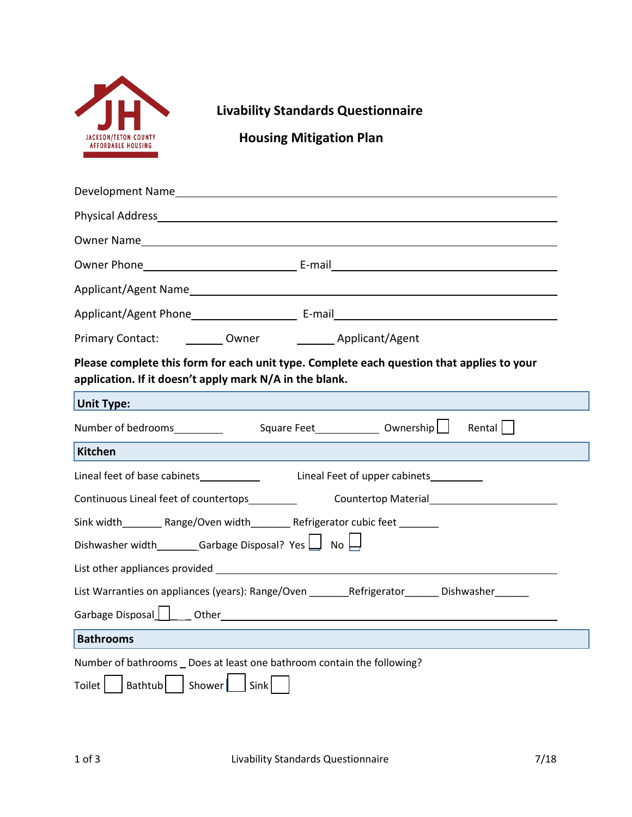

## **Livability Standards Questionnaire**

 **Housing Mitigation Plan**

| Development Names and the contract of the contract of the contract of the contract of the contract of the contract of the contract of the contract of the contract of the contract of the contract of the contract of the cont                                                  |
|---------------------------------------------------------------------------------------------------------------------------------------------------------------------------------------------------------------------------------------------------------------------------------|
|                                                                                                                                                                                                                                                                                 |
|                                                                                                                                                                                                                                                                                 |
|                                                                                                                                                                                                                                                                                 |
|                                                                                                                                                                                                                                                                                 |
|                                                                                                                                                                                                                                                                                 |
| Primary Contact: __________ Owner __________ Applicant/Agent                                                                                                                                                                                                                    |
| Please complete this form for each unit type. Complete each question that applies to your<br>application. If it doesn't apply mark N/A in the blank.                                                                                                                            |
| <b>Unit Type:</b>                                                                                                                                                                                                                                                               |
| Number of bedrooms__________<br>Rental                                                                                                                                                                                                                                          |
| Kitchen                                                                                                                                                                                                                                                                         |
|                                                                                                                                                                                                                                                                                 |
| Continuous Lineal feet of countertops<br>Countertop Material<br><u>Letter and the set of the set of the set of the set of the set of the set of the set of the set of the set of the set of the set of the set of the set of the set of the set of the set of the set of th</u> |
| Sink width___________Range/Oven width_______________Refrigerator cubic feet _________                                                                                                                                                                                           |
| Dishwasher width__________Garbage Disposal? Yes $\Box$ No $\Box$                                                                                                                                                                                                                |
|                                                                                                                                                                                                                                                                                 |
| List Warranties on appliances (years): Range/Oven _________Refrigerator________ Dishwasher_______                                                                                                                                                                               |
| Garbage Disposal Cother Communication of the Contract of the Contract of the Contract of the Contract of the Co                                                                                                                                                                 |
| <b>Bathrooms</b>                                                                                                                                                                                                                                                                |
| Number of bathrooms _ Does at least one bathroom contain the following?<br>Shower    <br><b>Bathtub</b><br>Sink<br>Toilet                                                                                                                                                       |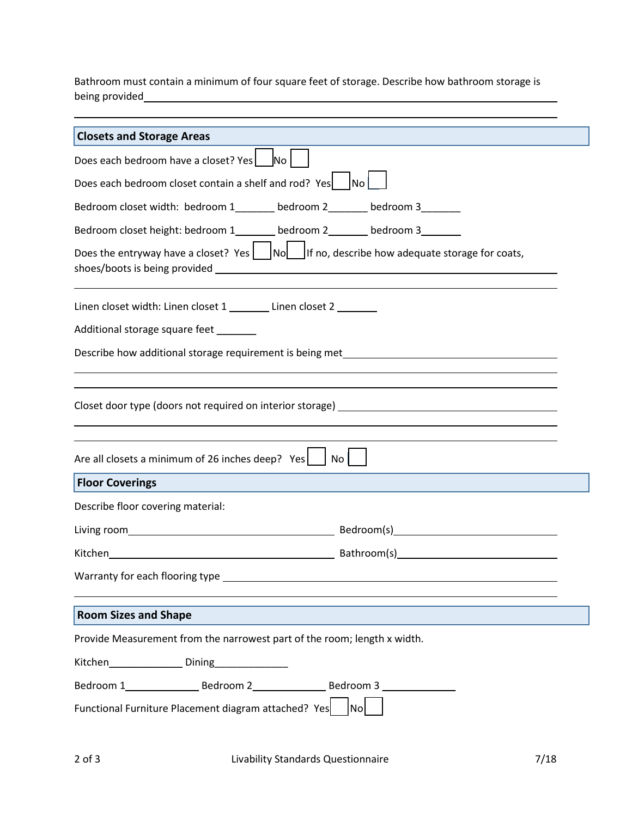Bathroom must contain a minimum of four square feet of storage. Describe how bathroom storage is being provided

| <b>Closets and Storage Areas</b>                                                                      |
|-------------------------------------------------------------------------------------------------------|
| Does each bedroom have a closet? Yes   No                                                             |
| Does each bedroom closet contain a shelf and rod? Yes<br>$\overline{\textsf{No}}$                     |
| Bedroom closet width: bedroom 1_______ bedroom 2______ bedroom 3______                                |
| Bedroom closet height: bedroom 1________ bedroom 2_______ bedroom 3_______                            |
| Does the entryway have a closet? Yes $\Box$ No $\Box$ If no, describe how adequate storage for coats, |
| Linen closet width: Linen closet 1 ________ Linen closet 2 _______                                    |
| Additional storage square feet _______                                                                |
| Describe how additional storage requirement is being met________________________                      |
| Closet door type (doors not required on interior storage) _______________________                     |
| Are all closets a minimum of 26 inches deep? $Yes$   No                                               |
| <b>Floor Coverings</b>                                                                                |
| Describe floor covering material:                                                                     |
|                                                                                                       |
|                                                                                                       |
|                                                                                                       |
| <b>Room Sizes and Shape</b>                                                                           |
| Provide Measurement from the narrowest part of the room; length x width.                              |
|                                                                                                       |
|                                                                                                       |
| Functional Furniture Placement diagram attached? Yes<br> Nol                                          |